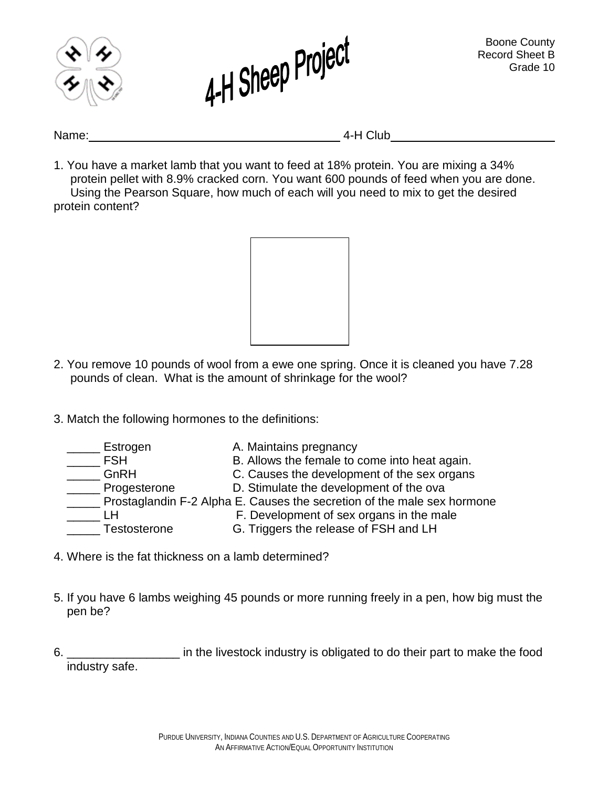



Name: 4-H Club

1. You have a market lamb that you want to feed at 18% protein. You are mixing a 34% protein pellet with 8.9% cracked corn. You want 600 pounds of feed when you are done. Using the Pearson Square, how much of each will you need to mix to get the desired protein content?



- 2. You remove 10 pounds of wool from a ewe one spring. Once it is cleaned you have 7.28 pounds of clean. What is the amount of shrinkage for the wool?
- 3. Match the following hormones to the definitions:

| Estrogen     | A. Maintains pregnancy                                                  |
|--------------|-------------------------------------------------------------------------|
| <b>FSH</b>   | B. Allows the female to come into heat again.                           |
| GnRH         | C. Causes the development of the sex organs                             |
| Progesterone | D. Stimulate the development of the ova                                 |
|              | Prostaglandin F-2 Alpha E. Causes the secretion of the male sex hormone |
|              | F. Development of sex organs in the male                                |
| Testosterone | G. Triggers the release of FSH and LH                                   |

- 4. Where is the fat thickness on a lamb determined?
- 5. If you have 6 lambs weighing 45 pounds or more running freely in a pen, how big must the pen be?
- 6. \_\_\_\_\_\_\_\_\_\_\_\_\_\_\_\_\_ in the livestock industry is obligated to do their part to make the food industry safe.